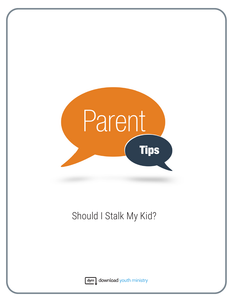

## Should I Stalk My Kid?



dym download youth ministry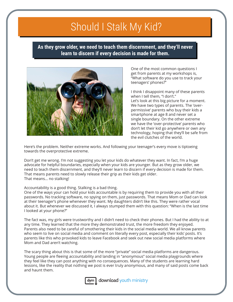## Should I Stalk My Kid?

**As they grow older, we need to teach them discernment, and they'll never learn to discern if every decision is made for them.**



One of the most common questions I get from parents at my workshops is, "What software do you use to track your teenagers' phones?"

I think I disappoint many of these parents when I tell them, "I don't." Let's look at this big picture for a moment. We have two types of parents. The 'overpermissive' parents who buy their kids a smartphone at age 8 and never set a single boundary. On the other extreme we have the 'over-protective' parents who don't let their kid go anywhere or own any technology, hoping that they'll be safe from the evil clutches of the world.

Here's the problem. Neither extreme works. And following your teenager's every move is tiptoeing towards the overprotective extreme.

Don't get me wrong. I'm not suggesting you let your kids do whatever they want. In fact, I'm a huge advocate for helpful boundaries, especially when your kids are younger. But as they grow older, we need to teach them discernment, and they'll never learn to discern if every decision is made for them. That means parents need to slowly release their grip as their kids get older. That means… no stalking!

## Accountability is a good thing. Stalking is a bad thing.

One of the ways your can hold your kids accountable is by requiring them to provide you with all their passwords. No tracking software, no spying on them, just passwords. That means Mom or Dad can look at their teenager's phone whenever they want. My daughters didn't like this. They were rather vocal about it. But whenever we discussed it, I always stumped them with this question: "When is the last time I looked at your phone?"

The fact was, my girls were trustworthy and I didn't need to check their phones. But I had the ability to at any time. They learned that the more they demonstrated trust, the more freedom they enjoyed. Parents also need to be careful of smothering their kids in the social media world. We all know parents who seem to live on social media and comment on literally every post, especially their kids' posts. It's parents like this who provoked kids to leave Facebook and seek out new social media platforms where Mom and Dad aren't watching.

The scary thing about this is that some of the more "private" social media platforms are dangerous. Young people are fleeing accountability and landing in "anonymous" social media playgrounds where they feel like they can post anything with no consequences. Many of the students are learning hard lessons, like the reality that nothing we post is ever truly anonymous, and many of said posts come back and haunt them.